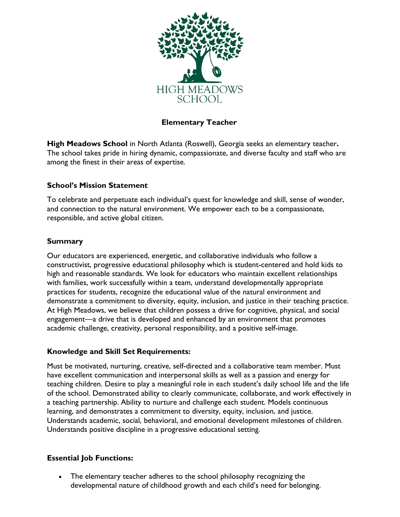

# **Elementary Teacher**

**High Meadows School** in North Atlanta (Roswell), Georgia seeks an elementary teacher**.**  The school takes pride in hiring dynamic, compassionate, and diverse faculty and staff who are among the finest in their areas of expertise.

### **School's Mission Statement**

To celebrate and perpetuate each individual's quest for knowledge and skill, sense of wonder, and connection to the natural environment. We empower each to be a compassionate, responsible, and active global citizen.

### **Summary**

Our educators are experienced, energetic, and collaborative individuals who follow a constructivist, progressive educational philosophy which is student-centered and hold kids to high and reasonable standards. We look for educators who maintain excellent relationships with families, work successfully within a team, understand developmentally appropriate practices for students, recognize the educational value of the natural environment and demonstrate a commitment to diversity, equity, inclusion, and justice in their teaching practice. At High Meadows, we believe that children possess a drive for cognitive, physical, and social engagement—a drive that is developed and enhanced by an environment that promotes academic challenge, creativity, personal responsibility, and a positive self-image.

#### **Knowledge and Skill Set Requirements:**

Must be motivated, nurturing, creative, self-directed and a collaborative team member. Must have excellent communication and interpersonal skills as well as a passion and energy for teaching children. Desire to play a meaningful role in each student's daily school life and the life of the school. Demonstrated ability to clearly communicate, collaborate, and work effectively in a teaching partnership. Ability to nurture and challenge each student. Models continuous learning, and demonstrates a commitment to diversity, equity, inclusion, and justice. Understands academic, social, behavioral, and emotional development milestones of children. Understands positive discipline in a progressive educational setting.

### **Essential Job Functions:**

• The elementary teacher adheres to the school philosophy recognizing the developmental nature of childhood growth and each child's need for belonging.